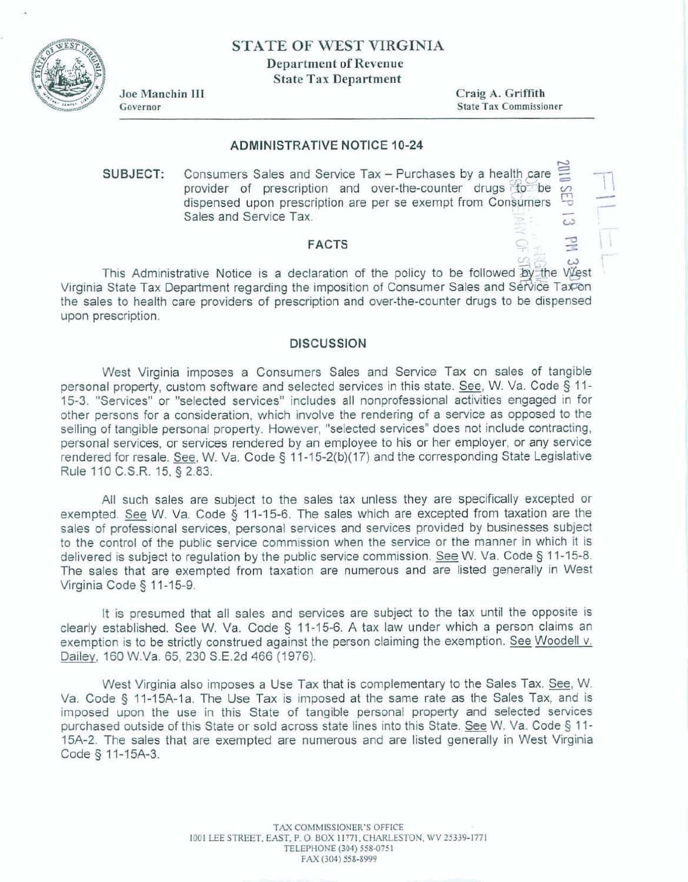**STATE OF WEST VIRGINIA** 

**Department of Revenue** 

**State Tax Department** 



Joe Manchin III Governor

**Craig A. Griffith State Tax Commissioner** 

## **ADMINISTRATIVE NOTICE 10-24**

**SUBJECT:** Consumers Sales and Service Tax - Purchases by a health care  $\approx$ **provider of prescription** and over-the-counter **drugs** %?be - **dispensed upon prescription are per se exempt from** Conwmers -p + Consumers Sales and Service Tax – Purchases by a health care  $\frac{1}{2}$ <br>provider of prescription and over-the-counter drugs for be sales and Service Tax.

## **FACTS**

**This Administrative Notice is a declaration of the** policy **to be followed**  Virginia State Tax Department regarding the imposition of Consumer Sales and Service Tax on **the sales to health care providers of prescription and over-the-counter drugs to be dispensed upon prescription.** 

## **DISCUSSION**

**West Virginia imposes a Consumers Sales and** Service **Tax** on **sales of tangible personal property, custom sohare and selected services in this state. See, W. Va. Code 3** 11- 15-3. "Services" or "selected services" includes all nonprofessional activities engaged in for **other persons for a consideration, which involve the rendering of a sewice as opposed to the selling of tangible personal property. However, "selected services" does not include contracting. personal services,** or **services rendered by an employee to his** or **her employer,** or any **service rendered for resale. See, W. Va. Code 5 1 4-1 5-2(b)(17) and the corresponding State Legislative Rule 110 C.S.R. 15, § 2.83.** 

**All such sales are subject to the sales tax unless they are specifically excepted or exempted. W.** Va. **Code 5** 11-15-6, The **sales which are excepted** from **taxation** are **the sales of professional services, personal services and services provided by businesses subject**  to the control of the public service commission when the service or the manner in which it is **delivered is subject to regulation by the public service commission. See W. Va. Code 5** 1 **1-1 5-8. The sales that are exempted from taxation are numerous and are listed generally in West Virginia Code 3 1 1-15-9.** 

**It is presumed that all sales and services** are **subject to the tax until the opposite is clearly established. See W. Va.** Code **5 11-15-6. A tax law under** which **a person claims an exemption is to be strictly construed against the person claiming the exemption. See Woodell v. Dailev. 160** W-Va. **65, 230 S.E.Zd 466 (1976).** 

**West** Virginia **also imposes a Use Tax** that **is complementary to** the **Sales Tax. See, W. Va. Code 5 11-15A-l a. The Use Tax is imposed at the same rate as the Sales Tax, and is imposed upon the use in this State of tangible personal property and selected services purchased outside of this State or sold across state lines into this State. See W. Va. Code 5 11- 15A-2. The sales** that: **are exempted are numerous and are listed generally in West Virginia Code 5 11-15A-3.**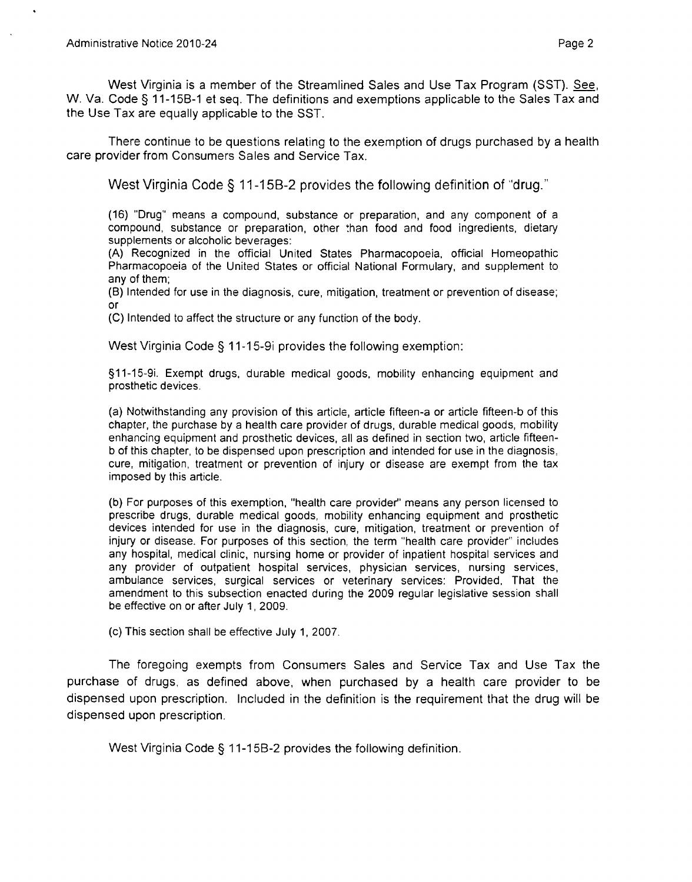West Virginia is a member of the Streamlined Sales and Use Tax Program (SST). *See,*  W. Va. Code § 11-15B-1 et seq. The definitions and exemptions applicable to the Sales Tax and the Use Tax are equally applicable to the SST.

There continue to be questions relating to the exemption of drugs purchased by a health care provider from Consumers Sales and Service Tax.

West Virginia Code § 11-15B-2 provides the following definition of "drug."

(16) "Drug" means a compound, substance or preparation, and any component of a compound, substance or preparation, other than food and food ingredients, dietary supplements or alcoholic beverages:

(A) Recognized in the official United States Pharmacopoeia, official Homeopathic Pharmacopoeia of the United States or official National Formulary, and supplement to any of them;

(B) lntended for use in the diagnosis, cure, mitigation, treatment or prevention of disease; or

(C) lntended to affect the structure or any function of the body.

West Virginia Code § 11-15-9i provides the following exemption:

911-15-9i. Exempt drugs, durable medical goods, mobility enhancing equipment and prosthetic devices.

(a) Notwithstanding any provision of this article, article fifteen-a or article fifteen-b of this chapter, the purchase by a health care provider of drugs, durable medical goods, mobility enhancing equipment and prosthetic devices, all as defined in section two, article fifteenb of this chapter, to be dispensed upon prescription and intended for use in the diagnosis, cure, mitigation, treatment or prevention of injury or disease are exempt from the tax imposed by this article.

(b) For purposes of this exemption, "health care provider" means any person licensed to prescribe drugs, durable medical goods, mobility enhancing equipment and prosthetic devices intended for use in the diagnosis, cure, mitigation, treatment or prevention of injury or disease. For purposes of this section, the term "health care provider" includes any hospital, medical clinic, nursing home or provider of inpatient hospital services and any provider of outpatient hospital services, physician services, nursing services, ambulance services, surgical services or veterinary services: Provided, That the amendment to this subsection enacted during the 2009 regular legislative session shall be effective on or after July 1,2009.

(c) This section shall be effective July 1, 2007.

The foregoing exempts from Consumers Sales and Service Tax and Use Tax the purchase of drugs, as defined above, when purchased by a health care provider to be dispensed upon prescription. Included in the definition is the requirement that the drug will be dispensed upon prescription.

West Virginia Code § 11-15B-2 provides the following definition.